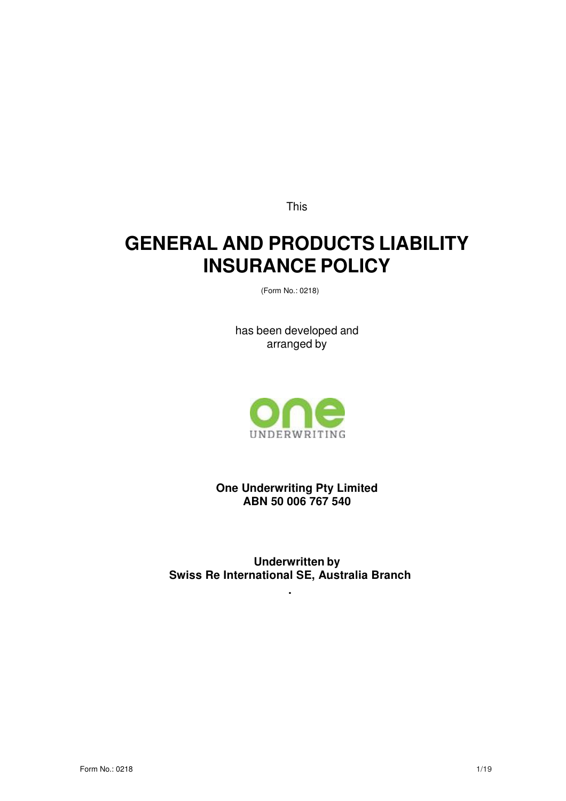This

# **GENERAL AND PRODUCTS LIABILITY INSURANCE POLICY**

(Form No.: 0218)

has been developed and arranged by



**One Underwriting Pty Limited ABN 50 006 767 540** 

**Underwritten by Swiss Re International SE, Australia Branch** 

**.**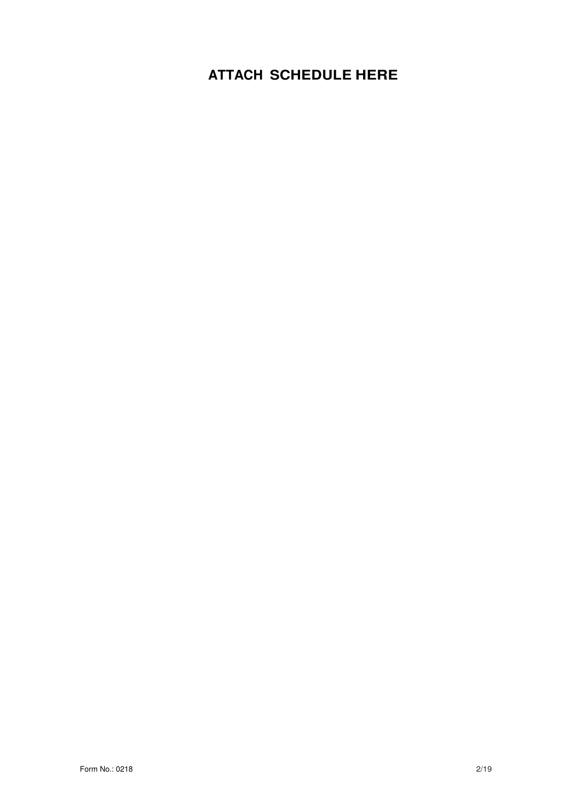## **ATTACH SCHEDULE HERE**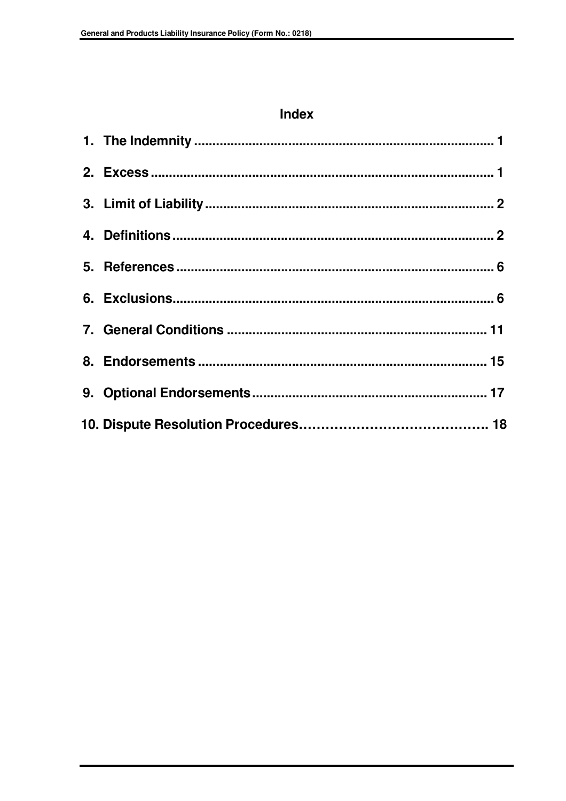## Index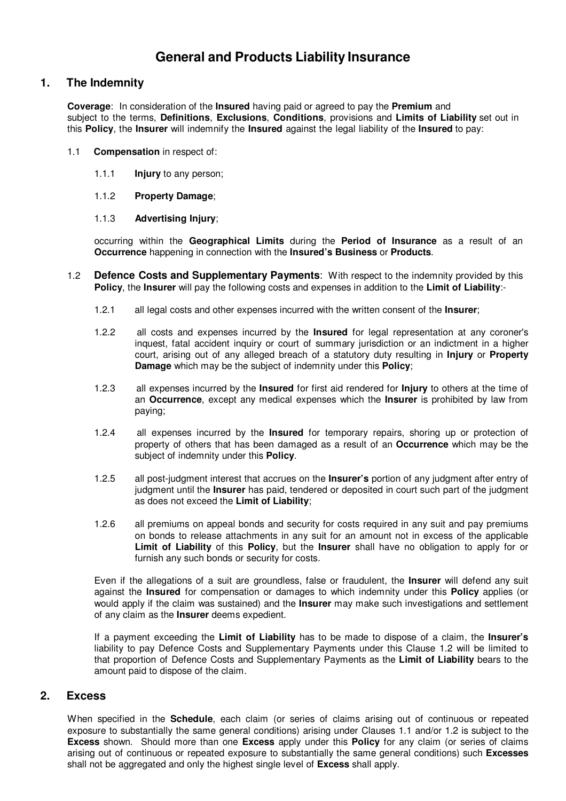## **General and Products Liability Insurance**

## **1. The Indemnity**

**Coverage**: In consideration of the **Insured** having paid or agreed to pay the **Premium** and subject to the terms, **Definitions**, **Exclusions**, **Conditions**, provisions and **Limits of Liability** set out in this **Policy**, the **Insurer** will indemnify the **Insured** against the legal liability of the **Insured** to pay:

- 1.1 **Compensation** in respect of:
	- 1.1.1 **Injury** to any person;
	- 1.1.2 **Property Damage**;

#### 1.1.3 **Advertising Injury**;

occurring within the **Geographical Limits** during the **Period of Insurance** as a result of an **Occurrence** happening in connection with the **Insured's Business** or **Products**.

- 1.2 **Defence Costs and Supplementary Payments**: With respect to the indemnity provided by this **Policy**, the **Insurer** will pay the following costs and expenses in addition to the **Limit of Liability**:-
	- 1.2.1 all legal costs and other expenses incurred with the written consent of the **Insurer**;
	- 1.2.2 all costs and expenses incurred by the **Insured** for legal representation at any coroner's inquest, fatal accident inquiry or court of summary jurisdiction or an indictment in a higher court, arising out of any alleged breach of a statutory duty resulting in **Injury** or **Property Damage** which may be the subject of indemnity under this **Policy**;
	- 1.2.3 all expenses incurred by the **Insured** for first aid rendered for **Injury** to others at the time of an **Occurrence**, except any medical expenses which the **Insurer** is prohibited by law from paying;
	- 1.2.4 all expenses incurred by the **Insured** for temporary repairs, shoring up or protection of property of others that has been damaged as a result of an **Occurrence** which may be the subject of indemnity under this **Policy**.
	- 1.2.5 all post-judgment interest that accrues on the **Insurer's** portion of any judgment after entry of judgment until the **Insurer** has paid, tendered or deposited in court such part of the judgment as does not exceed the **Limit of Liability**;
	- 1.2.6 all premiums on appeal bonds and security for costs required in any suit and pay premiums on bonds to release attachments in any suit for an amount not in excess of the applicable **Limit of Liability** of this **Policy**, but the **Insurer** shall have no obligation to apply for or furnish any such bonds or security for costs.

Even if the allegations of a suit are groundless, false or fraudulent, the **Insurer** will defend any suit against the **Insured** for compensation or damages to which indemnity under this **Policy** applies (or would apply if the claim was sustained) and the **Insurer** may make such investigations and settlement of any claim as the **Insurer** deems expedient.

If a payment exceeding the **Limit of Liability** has to be made to dispose of a claim, the **Insurer's**  liability to pay Defence Costs and Supplementary Payments under this Clause 1.2 will be limited to that proportion of Defence Costs and Supplementary Payments as the **Limit of Liability** bears to the amount paid to dispose of the claim.

## **2. Excess**

When specified in the **Schedule**, each claim (or series of claims arising out of continuous or repeated exposure to substantially the same general conditions) arising under Clauses 1.1 and/or 1.2 is subject to the **Excess** shown. Should more than one **Excess** apply under this **Policy** for any claim (or series of claims arising out of continuous or repeated exposure to substantially the same general conditions) such **Excesses**  shall not be aggregated and only the highest single level of **Excess** shall apply.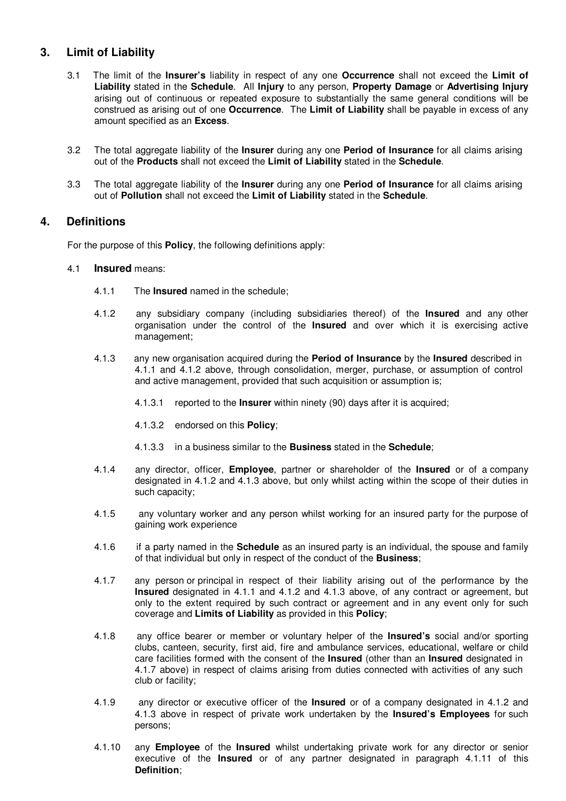## **3. Limit of Liability**

- 3.1 The limit of the **Insurer's** liability in respect of any one **Occurrence** shall not exceed the **Limit of Liability** stated in the **Schedule**. All **Injury** to any person, **Property Damage** or **Advertising Injury**  arising out of continuous or repeated exposure to substantially the same general conditions will be construed as arising out of one **Occurrence**. The **Limit of Liability** shall be payable in excess of any amount specified as an **Excess**.
- 3.2 The total aggregate liability of the **Insurer** during any one **Period of Insurance** for all claims arising out of the **Products** shall not exceed the **Limit of Liability** stated in the **Schedule**.
- 3.3 The total aggregate liability of the **Insurer** during any one **Period of Insurance** for all claims arising out of **Pollution** shall not exceed the **Limit of Liability** stated in the **Schedule**.

## **4. Definitions**

For the purpose of this **Policy**, the following definitions apply:

#### 4.1 **Insured** means:

- 4.1.1 The **Insured** named in the schedule;
- 4.1.2 any subsidiary company (including subsidiaries thereof) of the **Insured** and any other organisation under the control of the **Insured** and over which it is exercising active management;
- 4.1.3 any new organisation acquired during the **Period of Insurance** by the **Insured** described in 4.1.1 and 4.1.2 above, through consolidation, merger, purchase, or assumption of control and active management, provided that such acquisition or assumption is;
	- 4.1.3.1 reported to the **Insurer** within ninety (90) days after it is acquired;
	- 4.1.3.2 endorsed on this **Policy**;
	- 4.1.3.3 in a business similar to the **Business** stated in the **Schedule**;
- 4.1.4 any director, officer, **Employee**, partner or shareholder of the **Insured** or of a company designated in 4.1.2 and 4.1.3 above, but only whilst acting within the scope of their duties in such capacity;
- 4.1.5 any voluntary worker and any person whilst working for an insured party for the purpose of gaining work experience
- 4.1.6 if a party named in the **Schedule** as an insured party is an individual, the spouse and family of that individual but only in respect of the conduct of the **Business**;
- 4.1.7 any person or principal in respect of their liability arising out of the performance by the **Insured** designated in 4.1.1 and 4.1.2 and 4.1.3 above, of any contract or agreement, but only to the extent required by such contract or agreement and in any event only for such coverage and **Limits of Liability** as provided in this **Policy**;
- 4.1.8 any office bearer or member or voluntary helper of the **Insured's** social and/or sporting clubs, canteen, security, first aid, fire and ambulance services, educational, welfare or child care facilities formed with the consent of the **Insured** (other than an **Insured** designated in 4.1.7 above) in respect of claims arising from duties connected with activities of any such club or facility;
- 4.1.9 any director or executive officer of the **Insured** or of a company designated in 4.1.2 and 4.1.3 above in respect of private work undertaken by the **Insured's Employees** for such persons;
- 4.1.10 any **Employee** of the **Insured** whilst undertaking private work for any director or senior executive of the **Insured** or of any partner designated in paragraph 4.1.11 of this **Definition**;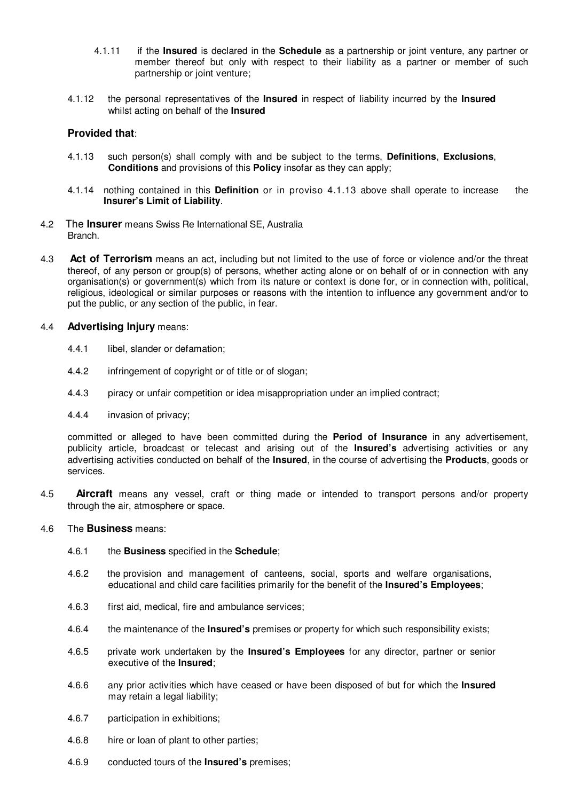- 4.1.11 if the **Insured** is declared in the **Schedule** as a partnership or joint venture, any partner or member thereof but only with respect to their liability as a partner or member of such partnership or joint venture;
- 4.1.12 the personal representatives of the **Insured** in respect of liability incurred by the **Insured** whilst acting on behalf of the **Insured**

#### **Provided that**:

- 4.1.13 such person(s) shall comply with and be subject to the terms, **Definitions**, **Exclusions**, **Conditions** and provisions of this **Policy** insofar as they can apply;
- 4.1.14 nothing contained in this **Definition** or in proviso 4.1.13 above shall operate to increase the **Insurer's Limit of Liability**.
- 4.2 The **Insurer** means Swiss Re International SE, Australia Branch.
- 4.3 **Act of Terrorism** means an act, including but not limited to the use of force or violence and/or the threat thereof, of any person or group(s) of persons, whether acting alone or on behalf of or in connection with any organisation(s) or government(s) which from its nature or context is done for, or in connection with, political, religious, ideological or similar purposes or reasons with the intention to influence any government and/or to put the public, or any section of the public, in fear.

#### 4.4 **Advertising Injury** means:

- 4.4.1 libel, slander or defamation;
- 4.4.2 infringement of copyright or of title or of slogan;
- 4.4.3 piracy or unfair competition or idea misappropriation under an implied contract;
- 4.4.4 invasion of privacy;

committed or alleged to have been committed during the **Period of Insurance** in any advertisement, publicity article, broadcast or telecast and arising out of the **Insured's** advertising activities or any advertising activities conducted on behalf of the **Insured**, in the course of advertising the **Products**, goods or services.

4.5 **Aircraft** means any vessel, craft or thing made or intended to transport persons and/or property through the air, atmosphere or space.

#### 4.6 The **Business** means:

- 4.6.1 the **Business** specified in the **Schedule**;
- 4.6.2 the provision and management of canteens, social, sports and welfare organisations, educational and child care facilities primarily for the benefit of the **Insured's Employees**;
- 4.6.3 first aid, medical, fire and ambulance services;
- 4.6.4 the maintenance of the **Insured's** premises or property for which such responsibility exists;
- 4.6.5 private work undertaken by the **Insured's Employees** for any director, partner or senior executive of the **Insured**;
- 4.6.6 any prior activities which have ceased or have been disposed of but for which the **Insured** may retain a legal liability;
- 4.6.7 participation in exhibitions;
- 4.6.8 hire or loan of plant to other parties;
- 4.6.9 conducted tours of the **Insured's** premises;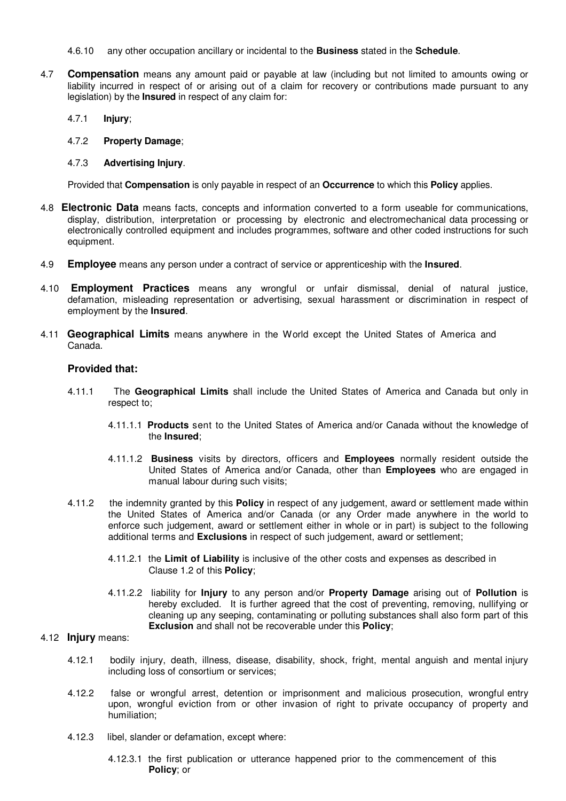- 4.6.10 any other occupation ancillary or incidental to the **Business** stated in the **Schedule**.
- 4.7 **Compensation** means any amount paid or payable at law (including but not limited to amounts owing or liability incurred in respect of or arising out of a claim for recovery or contributions made pursuant to any legislation) by the **Insured** in respect of any claim for:
	- 4.7.1 **Injury**;
	- 4.7.2 **Property Damage**;
	- 4.7.3 **Advertising Injury**.

Provided that **Compensation** is only payable in respect of an **Occurrence** to which this **Policy** applies.

- 4.8 **Electronic Data** means facts, concepts and information converted to a form useable for communications, display, distribution, interpretation or processing by electronic and electromechanical data processing or electronically controlled equipment and includes programmes, software and other coded instructions for such equipment.
- 4.9 **Employee** means any person under a contract of service or apprenticeship with the **Insured**.
- 4.10 **Employment Practices** means any wrongful or unfair dismissal, denial of natural justice, defamation, misleading representation or advertising, sexual harassment or discrimination in respect of employment by the **Insured**.
- 4.11 **Geographical Limits** means anywhere in the World except the United States of America and Canada.

#### **Provided that:**

- 4.11.1 The **Geographical Limits** shall include the United States of America and Canada but only in respect to;
	- 4.11.1.1 **Products** sent to the United States of America and/or Canada without the knowledge of the **Insured**;
	- 4.11.1.2 **Business** visits by directors, officers and **Employees** normally resident outside the United States of America and/or Canada, other than **Employees** who are engaged in manual labour during such visits;
- 4.11.2 the indemnity granted by this **Policy** in respect of any judgement, award or settlement made within the United States of America and/or Canada (or any Order made anywhere in the world to enforce such judgement, award or settlement either in whole or in part) is subject to the following additional terms and **Exclusions** in respect of such judgement, award or settlement;
	- 4.11.2.1 the **Limit of Liability** is inclusive of the other costs and expenses as described in Clause 1.2 of this **Policy**;
	- 4.11.2.2 liability for **Injury** to any person and/or **Property Damage** arising out of **Pollution** is hereby excluded. It is further agreed that the cost of preventing, removing, nullifying or cleaning up any seeping, contaminating or polluting substances shall also form part of this **Exclusion** and shall not be recoverable under this **Policy**;

#### 4.12 **Injury** means:

- 4.12.1 bodily injury, death, illness, disease, disability, shock, fright, mental anguish and mental injury including loss of consortium or services;
- 4.12.2 false or wrongful arrest, detention or imprisonment and malicious prosecution, wrongful entry upon, wrongful eviction from or other invasion of right to private occupancy of property and humiliation;
- 4.12.3 libel, slander or defamation, except where:
	- 4.12.3.1 the first publication or utterance happened prior to the commencement of this **Policy**; or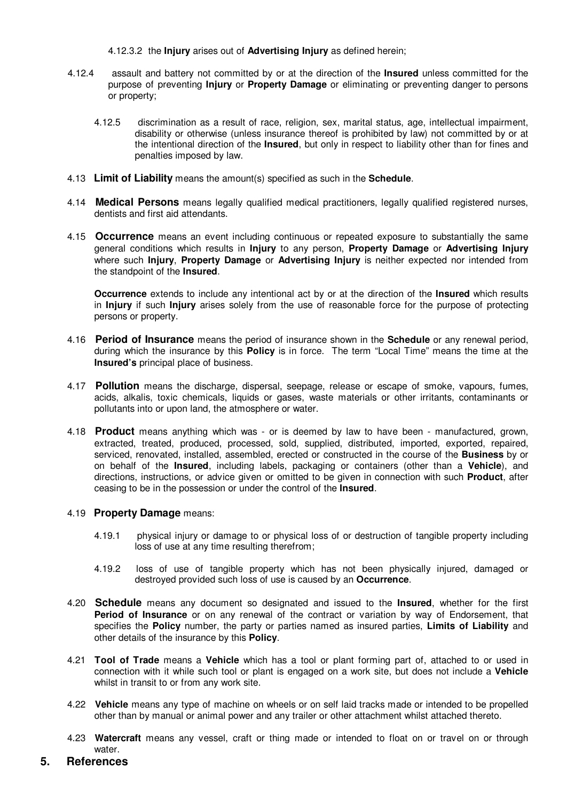4.12.3.2 the **Injury** arises out of **Advertising Injury** as defined herein;

- 4.12.4 assault and battery not committed by or at the direction of the **Insured** unless committed for the purpose of preventing **Injury** or **Property Damage** or eliminating or preventing danger to persons or property;
	- 4.12.5 discrimination as a result of race, religion, sex, marital status, age, intellectual impairment, disability or otherwise (unless insurance thereof is prohibited by law) not committed by or at the intentional direction of the **Insured**, but only in respect to liability other than for fines and penalties imposed by law.
- 4.13 **Limit of Liability** means the amount(s) specified as such in the **Schedule**.
- 4.14 **Medical Persons** means legally qualified medical practitioners, legally qualified registered nurses, dentists and first aid attendants.
- 4.15 **Occurrence** means an event including continuous or repeated exposure to substantially the same general conditions which results in **Injury** to any person, **Property Damage** or **Advertising Injury**  where such **Injury**, **Property Damage** or **Advertising Injury** is neither expected nor intended from the standpoint of the **Insured**.

**Occurrence** extends to include any intentional act by or at the direction of the **Insured** which results in **Injury** if such **Injury** arises solely from the use of reasonable force for the purpose of protecting persons or property.

- 4.16 **Period of Insurance** means the period of insurance shown in the **Schedule** or any renewal period, during which the insurance by this **Policy** is in force. The term "Local Time" means the time at the **Insured's** principal place of business.
- 4.17 **Pollution** means the discharge, dispersal, seepage, release or escape of smoke, vapours, fumes, acids, alkalis, toxic chemicals, liquids or gases, waste materials or other irritants, contaminants or pollutants into or upon land, the atmosphere or water.
- 4.18 **Product** means anything which was or is deemed by law to have been manufactured, grown, extracted, treated, produced, processed, sold, supplied, distributed, imported, exported, repaired, serviced, renovated, installed, assembled, erected or constructed in the course of the **Business** by or on behalf of the **Insured**, including labels, packaging or containers (other than a **Vehicle**), and directions, instructions, or advice given or omitted to be given in connection with such **Product**, after ceasing to be in the possession or under the control of the **Insured**.

#### 4.19 **Property Damage** means:

- 4.19.1 physical injury or damage to or physical loss of or destruction of tangible property including loss of use at any time resulting therefrom;
- 4.19.2 loss of use of tangible property which has not been physically injured, damaged or destroyed provided such loss of use is caused by an **Occurrence**.
- 4.20 **Schedule** means any document so designated and issued to the **Insured**, whether for the first **Period of Insurance** or on any renewal of the contract or variation by way of Endorsement, that specifies the **Policy** number, the party or parties named as insured parties, **Limits of Liability** and other details of the insurance by this **Policy**.
- 4.21 **Tool of Trade** means a **Vehicle** which has a tool or plant forming part of, attached to or used in connection with it while such tool or plant is engaged on a work site, but does not include a **Vehicle**  whilst in transit to or from any work site.
- 4.22 **Vehicle** means any type of machine on wheels or on self laid tracks made or intended to be propelled other than by manual or animal power and any trailer or other attachment whilst attached thereto.
- 4.23 **Watercraft** means any vessel, craft or thing made or intended to float on or travel on or through water.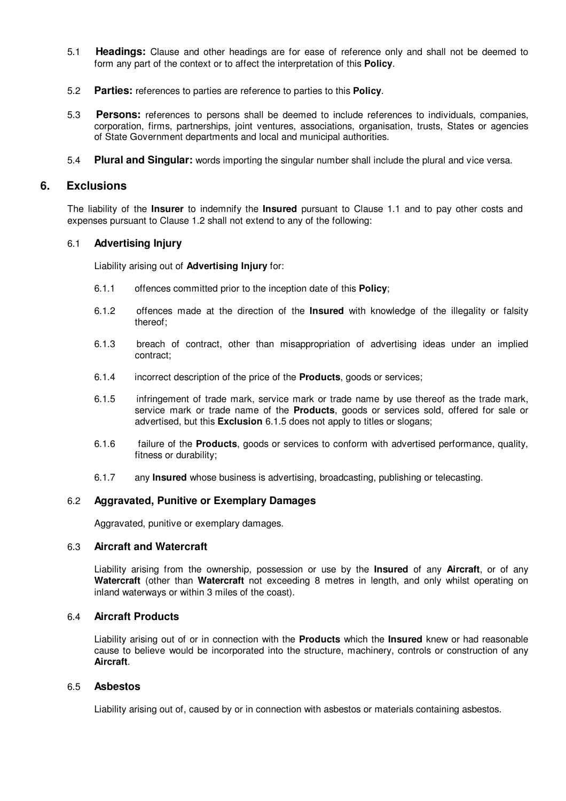- 5.1 **Headings:** Clause and other headings are for ease of reference only and shall not be deemed to form any part of the context or to affect the interpretation of this **Policy**.
- 5.2 **Parties:** references to parties are reference to parties to this **Policy**.
- 5.3 **Persons:** references to persons shall be deemed to include references to individuals, companies, corporation, firms, partnerships, joint ventures, associations, organisation, trusts, States or agencies of State Government departments and local and municipal authorities.
- 5.4 **Plural and Singular:** words importing the singular number shall include the plural and vice versa.

#### **6. Exclusions**

The liability of the **Insurer** to indemnify the **Insured** pursuant to Clause 1.1 and to pay other costs and expenses pursuant to Clause 1.2 shall not extend to any of the following:

#### 6.1 **Advertising Injury**

Liability arising out of **Advertising Injury** for:

- 6.1.1 offences committed prior to the inception date of this **Policy**;
- 6.1.2 offences made at the direction of the **Insured** with knowledge of the illegality or falsity thereof;
- 6.1.3 breach of contract, other than misappropriation of advertising ideas under an implied contract;
- 6.1.4 incorrect description of the price of the **Products**, goods or services;
- 6.1.5 infringement of trade mark, service mark or trade name by use thereof as the trade mark, service mark or trade name of the **Products**, goods or services sold, offered for sale or advertised, but this **Exclusion** 6.1.5 does not apply to titles or slogans;
- 6.1.6 failure of the **Products**, goods or services to conform with advertised performance, quality, fitness or durability;
- 6.1.7 any **Insured** whose business is advertising, broadcasting, publishing or telecasting.

#### 6.2 **Aggravated, Punitive or Exemplary Damages**

Aggravated, punitive or exemplary damages.

#### 6.3 **Aircraft and Watercraft**

Liability arising from the ownership, possession or use by the **Insured** of any **Aircraft**, or of any **Watercraft** (other than **Watercraft** not exceeding 8 metres in length, and only whilst operating on inland waterways or within 3 miles of the coast).

#### 6.4 **Aircraft Products**

Liability arising out of or in connection with the **Products** which the **Insured** knew or had reasonable cause to believe would be incorporated into the structure, machinery, controls or construction of any **Aircraft**.

#### 6.5 **Asbestos**

Liability arising out of, caused by or in connection with asbestos or materials containing asbestos.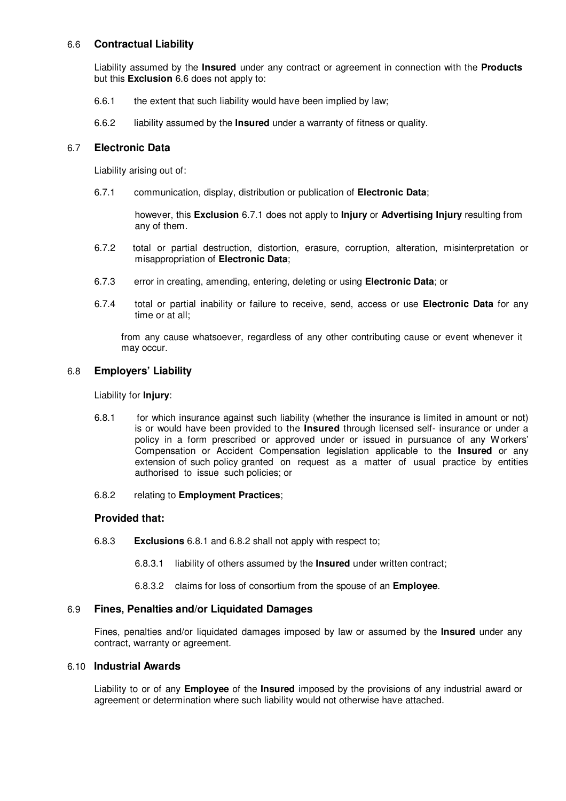### 6.6 **Contractual Liability**

Liability assumed by the **Insured** under any contract or agreement in connection with the **Products** but this **Exclusion** 6.6 does not apply to:

- 6.6.1 the extent that such liability would have been implied by law;
- 6.6.2 liability assumed by the **Insured** under a warranty of fitness or quality.

#### 6.7 **Electronic Data**

Liability arising out of:

6.7.1 communication, display, distribution or publication of **Electronic Data**;

however, this **Exclusion** 6.7.1 does not apply to **Injury** or **Advertising Injury** resulting from any of them.

- 6.7.2 total or partial destruction, distortion, erasure, corruption, alteration, misinterpretation or misappropriation of **Electronic Data**;
- 6.7.3 error in creating, amending, entering, deleting or using **Electronic Data**; or
- 6.7.4 total or partial inability or failure to receive, send, access or use **Electronic Data** for any time or at all;

from any cause whatsoever, regardless of any other contributing cause or event whenever it may occur.

#### 6.8 **Employers' Liability**

Liability for **Injury**:

- 6.8.1 for which insurance against such liability (whether the insurance is limited in amount or not) is or would have been provided to the **Insured** through licensed self- insurance or under a policy in a form prescribed or approved under or issued in pursuance of any Workers' Compensation or Accident Compensation legislation applicable to the **Insured** or any extension of such policy granted on request as a matter of usual practice by entities authorised to issue such policies; or
- 6.8.2 relating to **Employment Practices**;

#### **Provided that:**

- 6.8.3 **Exclusions** 6.8.1 and 6.8.2 shall not apply with respect to;
	- 6.8.3.1 liability of others assumed by the **Insured** under written contract;
	- 6.8.3.2 claims for loss of consortium from the spouse of an **Employee**.

#### 6.9 **Fines, Penalties and/or Liquidated Damages**

Fines, penalties and/or liquidated damages imposed by law or assumed by the **Insured** under any contract, warranty or agreement.

#### 6.10 **Industrial Awards**

Liability to or of any **Employee** of the **Insured** imposed by the provisions of any industrial award or agreement or determination where such liability would not otherwise have attached.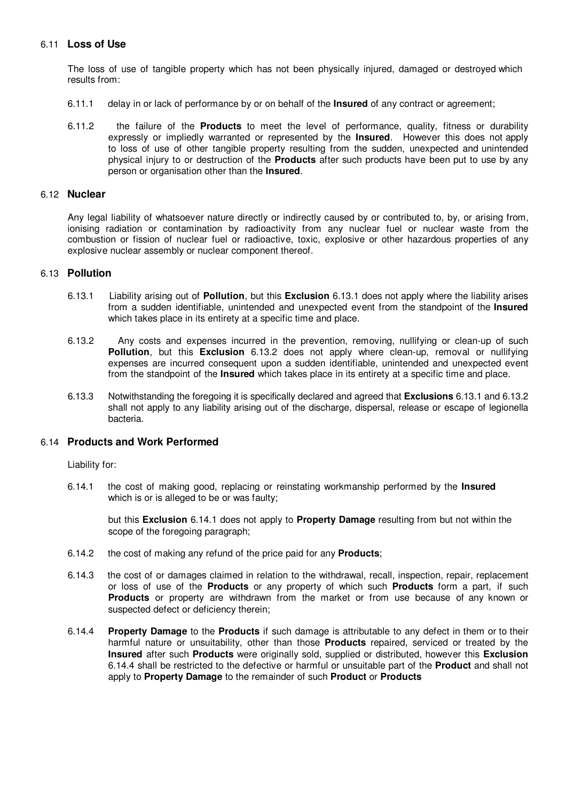### 6.11 **Loss of Use**

The loss of use of tangible property which has not been physically injured, damaged or destroyed which results from:

- 6.11.1 delay in or lack of performance by or on behalf of the **Insured** of any contract or agreement;
- 6.11.2 the failure of the **Products** to meet the level of performance, quality, fitness or durability expressly or impliedly warranted or represented by the **Insured**. However this does not apply to loss of use of other tangible property resulting from the sudden, unexpected and unintended physical injury to or destruction of the **Products** after such products have been put to use by any person or organisation other than the **Insured**.

#### 6.12 **Nuclear**

Any legal liability of whatsoever nature directly or indirectly caused by or contributed to, by, or arising from, ionising radiation or contamination by radioactivity from any nuclear fuel or nuclear waste from the combustion or fission of nuclear fuel or radioactive, toxic, explosive or other hazardous properties of any explosive nuclear assembly or nuclear component thereof.

#### 6.13 **Pollution**

- 6.13.1 Liability arising out of **Pollution**, but this **Exclusion** 6.13.1 does not apply where the liability arises from a sudden identifiable, unintended and unexpected event from the standpoint of the **Insured**  which takes place in its entirety at a specific time and place.
- 6.13.2 Any costs and expenses incurred in the prevention, removing, nullifying or clean-up of such **Pollution**, but this **Exclusion** 6.13.2 does not apply where clean-up, removal or nullifying expenses are incurred consequent upon a sudden identifiable, unintended and unexpected event from the standpoint of the **Insured** which takes place in its entirety at a specific time and place.
- 6.13.3 Notwithstanding the foregoing it is specifically declared and agreed that **Exclusions** 6.13.1 and 6.13.2 shall not apply to any liability arising out of the discharge, dispersal, release or escape of legionella bacteria.

#### 6.14 **Products and Work Performed**

Liability for:

6.14.1 the cost of making good, replacing or reinstating workmanship performed by the **Insured** which is or is alleged to be or was faulty;

but this **Exclusion** 6.14.1 does not apply to **Property Damage** resulting from but not within the scope of the foregoing paragraph;

- 6.14.2 the cost of making any refund of the price paid for any **Products**;
- 6.14.3 the cost of or damages claimed in relation to the withdrawal, recall, inspection, repair, replacement or loss of use of the **Products** or any property of which such **Products** form a part, if such **Products** or property are withdrawn from the market or from use because of any known or suspected defect or deficiency therein;
- 6.14.4 **Property Damage** to the **Products** if such damage is attributable to any defect in them or to their harmful nature or unsuitability, other than those **Products** repaired, serviced or treated by the **Insured** after such **Products** were originally sold, supplied or distributed, however this **Exclusion**  6.14.4 shall be restricted to the defective or harmful or unsuitable part of the **Product** and shall not apply to **Property Damage** to the remainder of such **Product** or **Products**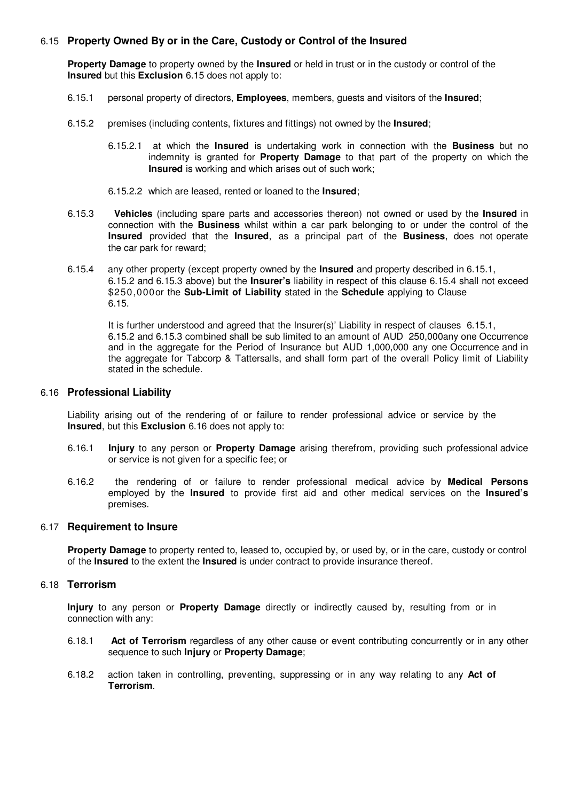#### 6.15 **Property Owned By or in the Care, Custody or Control of the Insured**

**Property Damage** to property owned by the **Insured** or held in trust or in the custody or control of the **Insured** but this **Exclusion** 6.15 does not apply to:

- 6.15.1 personal property of directors, **Employees**, members, guests and visitors of the **Insured**;
- 6.15.2 premises (including contents, fixtures and fittings) not owned by the **Insured**;
	- 6.15.2.1 at which the **Insured** is undertaking work in connection with the **Business** but no indemnity is granted for **Property Damage** to that part of the property on which the **Insured** is working and which arises out of such work;
	- 6.15.2.2 which are leased, rented or loaned to the **Insured**;
- 6.15.3 **Vehicles** (including spare parts and accessories thereon) not owned or used by the **Insured** in connection with the **Business** whilst within a car park belonging to or under the control of the **Insured** provided that the **Insured**, as a principal part of the **Business**, does not operate the car park for reward;
- 6.15.4 any other property (except property owned by the **Insured** and property described in 6.15.1, 6.15.2 and 6.15.3 above) but the **Insurer's** liability in respect of this clause 6.15.4 shall not exceed \$250,000or the **Sub-Limit of Liability** stated in the **Schedule** applying to Clause 6.15.

It is further understood and agreed that the Insurer(s)' Liability in respect of clauses 6.15.1, 6.15.2 and 6.15.3 combined shall be sub limited to an amount of AUD 250,000any one Occurrence and in the aggregate for the Period of Insurance but AUD 1,000,000 any one Occurrence and in the aggregate for Tabcorp & Tattersalls, and shall form part of the overall Policy limit of Liability stated in the schedule.

#### 6.16 **Professional Liability**

Liability arising out of the rendering of or failure to render professional advice or service by the **Insured**, but this **Exclusion** 6.16 does not apply to:

- 6.16.1 **Injury** to any person or **Property Damage** arising therefrom, providing such professional advice or service is not given for a specific fee; or
- 6.16.2 the rendering of or failure to render professional medical advice by **Medical Persons**  employed by the **Insured** to provide first aid and other medical services on the **Insured's**  premises.

#### 6.17 **Requirement to Insure**

**Property Damage** to property rented to, leased to, occupied by, or used by, or in the care, custody or control of the **Insured** to the extent the **Insured** is under contract to provide insurance thereof.

#### 6.18 **Terrorism**

**Injury** to any person or **Property Damage** directly or indirectly caused by, resulting from or in connection with any:

- 6.18.1 **Act of Terrorism** regardless of any other cause or event contributing concurrently or in any other sequence to such **Injury** or **Property Damage**;
- 6.18.2 action taken in controlling, preventing, suppressing or in any way relating to any **Act of Terrorism**.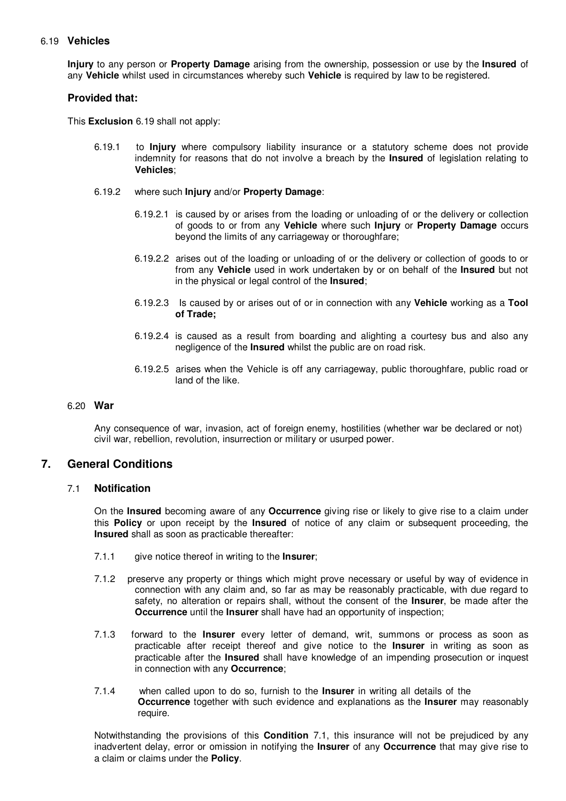#### 6.19 **Vehicles**

**Injury** to any person or **Property Damage** arising from the ownership, possession or use by the **Insured** of any **Vehicle** whilst used in circumstances whereby such **Vehicle** is required by law to be registered.

#### **Provided that:**

This **Exclusion** 6.19 shall not apply:

- 6.19.1 to **Injury** where compulsory liability insurance or a statutory scheme does not provide indemnity for reasons that do not involve a breach by the **Insured** of legislation relating to **Vehicles**;
- 6.19.2 where such **Injury** and/or **Property Damage**:
	- 6.19.2.1 is caused by or arises from the loading or unloading of or the delivery or collection of goods to or from any **Vehicle** where such **Injury** or **Property Damage** occurs beyond the limits of any carriageway or thoroughfare;
	- 6.19.2.2 arises out of the loading or unloading of or the delivery or collection of goods to or from any **Vehicle** used in work undertaken by or on behalf of the **Insured** but not in the physical or legal control of the **Insured**;
	- 6.19.2.3 Is caused by or arises out of or in connection with any **Vehicle** working as a **Tool of Trade;**
	- 6.19.2.4 is caused as a result from boarding and alighting a courtesy bus and also any negligence of the **Insured** whilst the public are on road risk.
	- 6.19.2.5 arises when the Vehicle is off any carriageway, public thoroughfare, public road or land of the like.

#### 6.20 **War**

Any consequence of war, invasion, act of foreign enemy, hostilities (whether war be declared or not) civil war, rebellion, revolution, insurrection or military or usurped power.

## **7. General Conditions**

#### 7.1 **Notification**

On the **Insured** becoming aware of any **Occurrence** giving rise or likely to give rise to a claim under this **Policy** or upon receipt by the **Insured** of notice of any claim or subsequent proceeding, the **Insured** shall as soon as practicable thereafter:

- 7.1.1 give notice thereof in writing to the **Insurer**;
- 7.1.2 preserve any property or things which might prove necessary or useful by way of evidence in connection with any claim and, so far as may be reasonably practicable, with due regard to safety, no alteration or repairs shall, without the consent of the **Insurer**, be made after the **Occurrence** until the **Insurer** shall have had an opportunity of inspection;
- 7.1.3 forward to the **Insurer** every letter of demand, writ, summons or process as soon as practicable after receipt thereof and give notice to the **Insurer** in writing as soon as practicable after the **Insured** shall have knowledge of an impending prosecution or inquest in connection with any **Occurrence**;
- 7.1.4 when called upon to do so, furnish to the **Insurer** in writing all details of the **Occurrence** together with such evidence and explanations as the **Insurer** may reasonably require.

Notwithstanding the provisions of this **Condition** 7.1, this insurance will not be prejudiced by any inadvertent delay, error or omission in notifying the **Insurer** of any **Occurrence** that may give rise to a claim or claims under the **Policy**.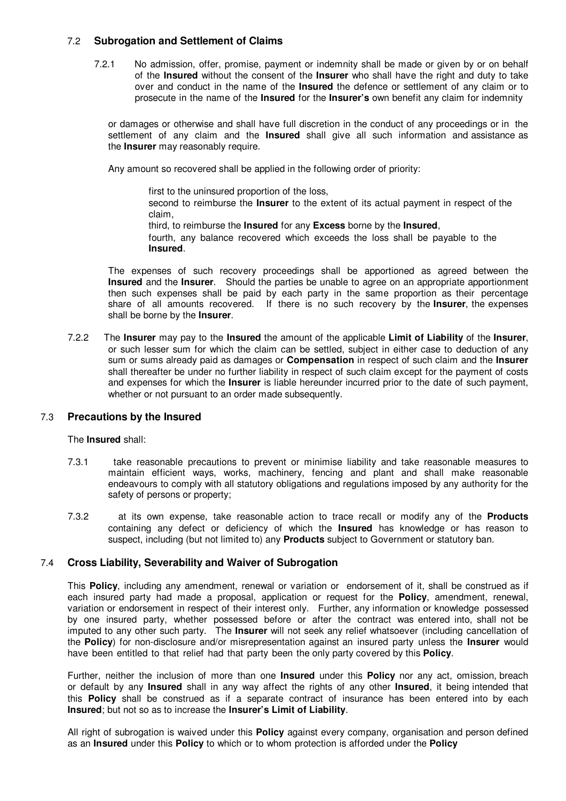### 7.2 **Subrogation and Settlement of Claims**

7.2.1 No admission, offer, promise, payment or indemnity shall be made or given by or on behalf of the **Insured** without the consent of the **Insurer** who shall have the right and duty to take over and conduct in the name of the **Insured** the defence or settlement of any claim or to prosecute in the name of the **Insured** for the **Insurer's** own benefit any claim for indemnity

or damages or otherwise and shall have full discretion in the conduct of any proceedings or in the settlement of any claim and the **Insured** shall give all such information and assistance as the **Insurer** may reasonably require.

Any amount so recovered shall be applied in the following order of priority:

first to the uninsured proportion of the loss,

second to reimburse the **Insurer** to the extent of its actual payment in respect of the claim,

third, to reimburse the **Insured** for any **Excess** borne by the **Insured**,

fourth, any balance recovered which exceeds the loss shall be payable to the **Insured**.

The expenses of such recovery proceedings shall be apportioned as agreed between the **Insured** and the **Insurer**. Should the parties be unable to agree on an appropriate apportionment then such expenses shall be paid by each party in the same proportion as their percentage share of all amounts recovered. If there is no such recovery by the **Insurer**, the expenses shall be borne by the **Insurer**.

7.2.2 The **Insurer** may pay to the **Insured** the amount of the applicable **Limit of Liability** of the **Insurer**, or such lesser sum for which the claim can be settled, subject in either case to deduction of any sum or sums already paid as damages or **Compensation** in respect of such claim and the **Insurer**  shall thereafter be under no further liability in respect of such claim except for the payment of costs and expenses for which the **Insurer** is liable hereunder incurred prior to the date of such payment, whether or not pursuant to an order made subsequently.

## 7.3 **Precautions by the Insured**

The **Insured** shall:

- 7.3.1 take reasonable precautions to prevent or minimise liability and take reasonable measures to maintain efficient ways, works, machinery, fencing and plant and shall make reasonable endeavours to comply with all statutory obligations and regulations imposed by any authority for the safety of persons or property;
- 7.3.2 at its own expense, take reasonable action to trace recall or modify any of the **Products**  containing any defect or deficiency of which the **Insured** has knowledge or has reason to suspect, including (but not limited to) any **Products** subject to Government or statutory ban.

### 7.4 **Cross Liability, Severability and Waiver of Subrogation**

This **Policy**, including any amendment, renewal or variation or endorsement of it, shall be construed as if each insured party had made a proposal, application or request for the **Policy**, amendment, renewal, variation or endorsement in respect of their interest only. Further, any information or knowledge possessed by one insured party, whether possessed before or after the contract was entered into, shall not be imputed to any other such party. The **Insurer** will not seek any relief whatsoever (including cancellation of the **Policy**) for non-disclosure and/or misrepresentation against an insured party unless the **Insurer** would have been entitled to that relief had that party been the only party covered by this **Policy**.

Further, neither the inclusion of more than one **Insured** under this **Policy** nor any act, omission, breach or default by any **Insured** shall in any way affect the rights of any other **Insured**, it being intended that this **Policy** shall be construed as if a separate contract of insurance has been entered into by each **Insured**; but not so as to increase the **Insurer's Limit of Liability**.

All right of subrogation is waived under this **Policy** against every company, organisation and person defined as an **Insured** under this **Policy** to which or to whom protection is afforded under the **Policy**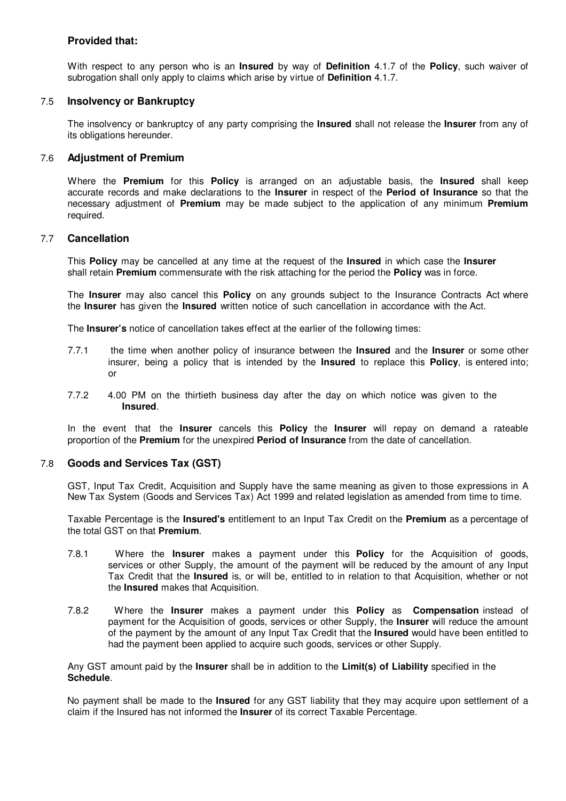## **Provided that:**

With respect to any person who is an **Insured** by way of **Definition** 4.1.7 of the **Policy**, such waiver of subrogation shall only apply to claims which arise by virtue of **Definition** 4.1.7.

### 7.5 **Insolvency or Bankruptcy**

The insolvency or bankruptcy of any party comprising the **Insured** shall not release the **Insurer** from any of its obligations hereunder.

#### 7.6 **Adjustment of Premium**

Where the **Premium** for this **Policy** is arranged on an adjustable basis, the **Insured** shall keep accurate records and make declarations to the **Insurer** in respect of the **Period of Insurance** so that the necessary adjustment of **Premium** may be made subject to the application of any minimum **Premium**  required.

### 7.7 **Cancellation**

This **Policy** may be cancelled at any time at the request of the **Insured** in which case the **Insurer** shall retain **Premium** commensurate with the risk attaching for the period the **Policy** was in force.

The **Insurer** may also cancel this **Policy** on any grounds subject to the Insurance Contracts Act where the **Insurer** has given the **Insured** written notice of such cancellation in accordance with the Act.

The **Insurer's** notice of cancellation takes effect at the earlier of the following times:

- 7.7.1 the time when another policy of insurance between the **Insured** and the **Insurer** or some other insurer, being a policy that is intended by the **Insured** to replace this **Policy**, is entered into; or
- 7.7.2 4.00 PM on the thirtieth business day after the day on which notice was given to the **Insured**.

In the event that the **Insurer** cancels this **Policy** the **Insurer** will repay on demand a rateable proportion of the **Premium** for the unexpired **Period of Insurance** from the date of cancellation.

#### 7.8 **Goods and Services Tax (GST)**

GST, Input Tax Credit, Acquisition and Supply have the same meaning as given to those expressions in A New Tax System (Goods and Services Tax) Act 1999 and related legislation as amended from time to time.

Taxable Percentage is the **Insured's** entitlement to an Input Tax Credit on the **Premium** as a percentage of the total GST on that **Premium**.

- 7.8.1 Where the **Insurer** makes a payment under this **Policy** for the Acquisition of goods, services or other Supply, the amount of the payment will be reduced by the amount of any Input Tax Credit that the **Insured** is, or will be, entitled to in relation to that Acquisition, whether or not the **Insured** makes that Acquisition.
- 7.8.2 Where the **Insurer** makes a payment under this **Policy** as **Compensation** instead of payment for the Acquisition of goods, services or other Supply, the **Insurer** will reduce the amount of the payment by the amount of any Input Tax Credit that the **Insured** would have been entitled to had the payment been applied to acquire such goods, services or other Supply.

Any GST amount paid by the **Insurer** shall be in addition to the **Limit(s) of Liability** specified in the **Schedule**.

No payment shall be made to the **Insured** for any GST liability that they may acquire upon settlement of a claim if the Insured has not informed the **Insurer** of its correct Taxable Percentage.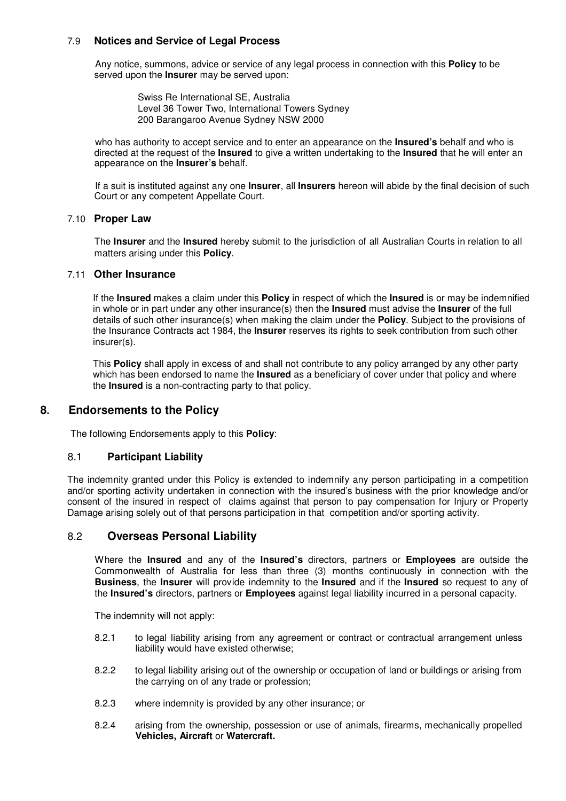#### 7.9 **Notices and Service of Legal Process**

Any notice, summons, advice or service of any legal process in connection with this **Policy** to be served upon the **Insurer** may be served upon:

> Swiss Re International SE, Australia Level 36 Tower Two, International Towers Sydney 200 Barangaroo Avenue Sydney NSW 2000

who has authority to accept service and to enter an appearance on the **Insured's** behalf and who is directed at the request of the **Insured** to give a written undertaking to the **Insured** that he will enter an appearance on the **Insurer's** behalf.

If a suit is instituted against any one **Insurer**, all **Insurers** hereon will abide by the final decision of such Court or any competent Appellate Court.

#### 7.10 **Proper Law**

The **Insurer** and the **Insured** hereby submit to the jurisdiction of all Australian Courts in relation to all matters arising under this **Policy**.

### 7.11 **Other Insurance**

If the **Insured** makes a claim under this **Policy** in respect of which the **Insured** is or may be indemnified in whole or in part under any other insurance(s) then the **Insured** must advise the **Insurer** of the full details of such other insurance(s) when making the claim under the **Policy**. Subject to the provisions of the Insurance Contracts act 1984, the **Insurer** reserves its rights to seek contribution from such other insurer(s).

This **Policy** shall apply in excess of and shall not contribute to any policy arranged by any other party which has been endorsed to name the **Insured** as a beneficiary of cover under that policy and where the **Insured** is a non-contracting party to that policy.

## **8. Endorsements to the Policy**

The following Endorsements apply to this **Policy**:

#### 8.1 **Participant Liability**

The indemnity granted under this Policy is extended to indemnify any person participating in a competition and/or sporting activity undertaken in connection with the insured's business with the prior knowledge and/or consent of the insured in respect of claims against that person to pay compensation for Injury or Property Damage arising solely out of that persons participation in that competition and/or sporting activity.

## 8.2 **Overseas Personal Liability**

Where the **Insured** and any of the **Insured's** directors, partners or **Employees** are outside the Commonwealth of Australia for less than three (3) months continuously in connection with the **Business**, the **Insurer** will provide indemnity to the **Insured** and if the **Insured** so request to any of the **Insured's** directors, partners or **Employees** against legal liability incurred in a personal capacity.

The indemnity will not apply:

- 8.2.1 to legal liability arising from any agreement or contract or contractual arrangement unless liability would have existed otherwise;
- 8.2.2 to legal liability arising out of the ownership or occupation of land or buildings or arising from the carrying on of any trade or profession;
- 8.2.3 where indemnity is provided by any other insurance; or
- 8.2.4 arising from the ownership, possession or use of animals, firearms, mechanically propelled **Vehicles, Aircraft** or **Watercraft.**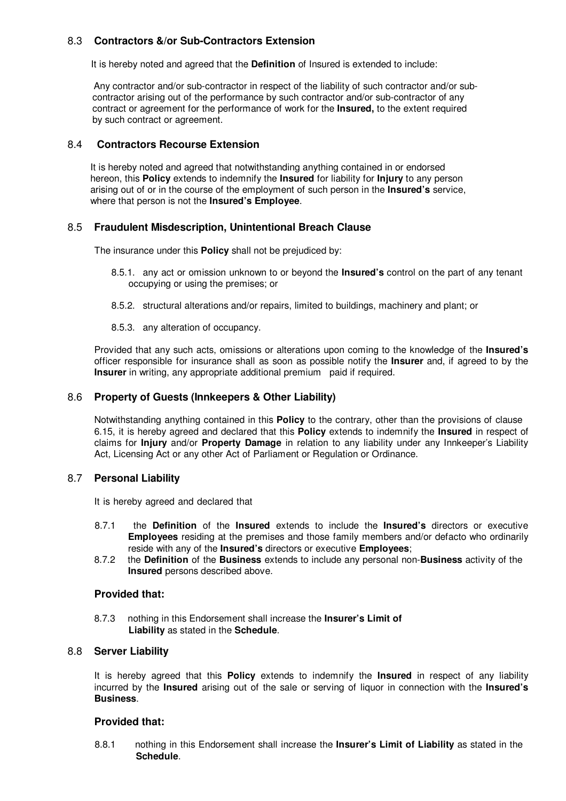## 8.3 **Contractors &/or Sub-Contractors Extension**

It is hereby noted and agreed that the **Definition** of Insured is extended to include:

 Any contractor and/or sub-contractor in respect of the liability of such contractor and/or subcontractor arising out of the performance by such contractor and/or sub-contractor of any contract or agreement for the performance of work for the **Insured,** to the extent required by such contract or agreement.

#### 8.4 **Contractors Recourse Extension**

It is hereby noted and agreed that notwithstanding anything contained in or endorsed hereon, this **Policy** extends to indemnify the **Insured** for liability for **Injury** to any person arising out of or in the course of the employment of such person in the **Insured's** service, where that person is not the **Insured's Employee**.

### 8.5 **Fraudulent Misdescription, Unintentional Breach Clause**

The insurance under this **Policy** shall not be prejudiced by:

- 8.5.1. any act or omission unknown to or beyond the **Insured's** control on the part of any tenant occupying or using the premises; or
- 8.5.2. structural alterations and/or repairs, limited to buildings, machinery and plant; or
- 8.5.3. any alteration of occupancy.

Provided that any such acts, omissions or alterations upon coming to the knowledge of the **Insured's**  officer responsible for insurance shall as soon as possible notify the **Insurer** and, if agreed to by the **Insurer** in writing, any appropriate additional premium paid if required.

#### 8.6 **Property of Guests (Innkeepers & Other Liability)**

Notwithstanding anything contained in this **Policy** to the contrary, other than the provisions of clause 6.15, it is hereby agreed and declared that this **Policy** extends to indemnify the **Insured** in respect of claims for **Injury** and/or **Property Damage** in relation to any liability under any Innkeeper's Liability Act, Licensing Act or any other Act of Parliament or Regulation or Ordinance.

#### 8.7 **Personal Liability**

It is hereby agreed and declared that

- 8.7.1 the **Definition** of the **Insured** extends to include the **Insured's** directors or executive **Employees** residing at the premises and those family members and/or defacto who ordinarily reside with any of the **Insured's** directors or executive **Employees**;
- 8.7.2 the **Definition** of the **Business** extends to include any personal non-**Business** activity of the **Insured** persons described above.

#### **Provided that:**

8.7.3 nothing in this Endorsement shall increase the **Insurer's Limit of Liability** as stated in the **Schedule**.

#### 8.8 **Server Liability**

It is hereby agreed that this **Policy** extends to indemnify the **Insured** in respect of any liability incurred by the **Insured** arising out of the sale or serving of liquor in connection with the **Insured's Business**.

#### **Provided that:**

8.8.1 nothing in this Endorsement shall increase the **Insurer's Limit of Liability** as stated in the **Schedule**.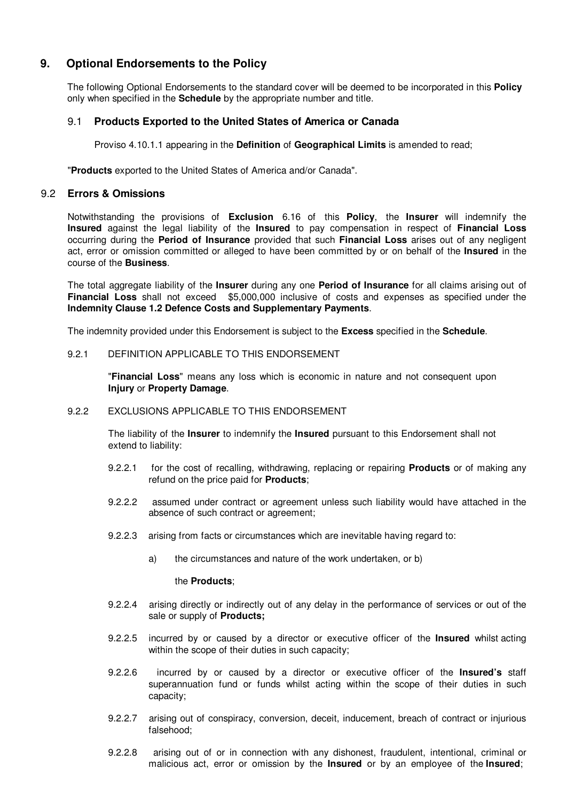## **9. Optional Endorsements to the Policy**

The following Optional Endorsements to the standard cover will be deemed to be incorporated in this **Policy** only when specified in the **Schedule** by the appropriate number and title.

### 9.1 **Products Exported to the United States of America or Canada**

Proviso 4.10.1.1 appearing in the **Definition** of **Geographical Limits** is amended to read;

"**Products** exported to the United States of America and/or Canada".

### 9.2 **Errors & Omissions**

Notwithstanding the provisions of **Exclusion** 6.16 of this **Policy**, the **Insurer** will indemnify the **Insured** against the legal liability of the **Insured** to pay compensation in respect of **Financial Loss**  occurring during the **Period of Insurance** provided that such **Financial Loss** arises out of any negligent act, error or omission committed or alleged to have been committed by or on behalf of the **Insured** in the course of the **Business**.

The total aggregate liability of the **Insurer** during any one **Period of Insurance** for all claims arising out of **Financial Loss** shall not exceed \$5,000,000 inclusive of costs and expenses as specified under the **Indemnity Clause 1.2 Defence Costs and Supplementary Payments**.

The indemnity provided under this Endorsement is subject to the **Excess** specified in the **Schedule**.

#### 9.2.1 DEFINITION APPLICABLE TO THIS ENDORSEMENT

"**Financial Loss**" means any loss which is economic in nature and not consequent upon **Injury** or **Property Damage**.

#### 9.2.2 EXCLUSIONS APPLICABLE TO THIS ENDORSEMENT

The liability of the **Insurer** to indemnify the **Insured** pursuant to this Endorsement shall not extend to liability:

- 9.2.2.1 for the cost of recalling, withdrawing, replacing or repairing **Products** or of making any refund on the price paid for **Products**;
- 9.2.2.2 assumed under contract or agreement unless such liability would have attached in the absence of such contract or agreement;
- 9.2.2.3 arising from facts or circumstances which are inevitable having regard to:
	- a) the circumstances and nature of the work undertaken, or b)

the **Products**;

- 9.2.2.4 arising directly or indirectly out of any delay in the performance of services or out of the sale or supply of **Products;**
- 9.2.2.5 incurred by or caused by a director or executive officer of the **Insured** whilst acting within the scope of their duties in such capacity;
- 9.2.2.6 incurred by or caused by a director or executive officer of the **Insured's** staff superannuation fund or funds whilst acting within the scope of their duties in such capacity;
- 9.2.2.7 arising out of conspiracy, conversion, deceit, inducement, breach of contract or injurious falsehood;
- 9.2.2.8 arising out of or in connection with any dishonest, fraudulent, intentional, criminal or malicious act, error or omission by the **Insured** or by an employee of the **Insured**;